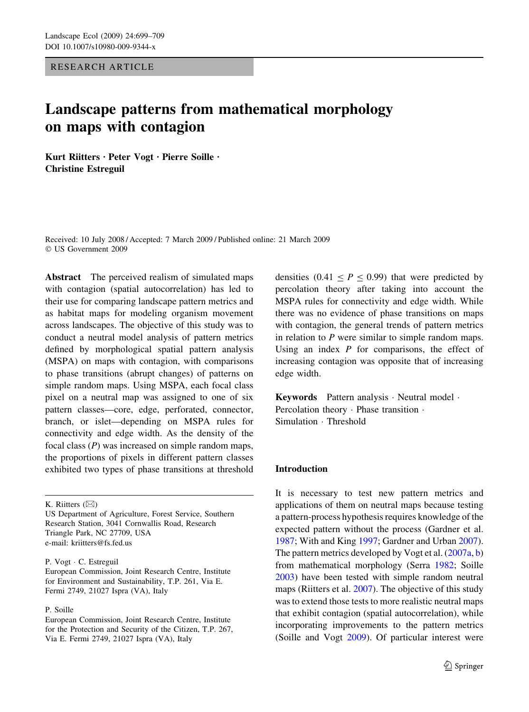RESEARCH ARTICLE

# Landscape patterns from mathematical morphology on maps with contagion

Kurt Riitters · Peter Vogt · Pierre Soille · Christine Estreguil

Received: 10 July 2008 / Accepted: 7 March 2009 / Published online: 21 March 2009 US Government 2009

Abstract The perceived realism of simulated maps with contagion (spatial autocorrelation) has led to their use for comparing landscape pattern metrics and as habitat maps for modeling organism movement across landscapes. The objective of this study was to conduct a neutral model analysis of pattern metrics defined by morphological spatial pattern analysis (MSPA) on maps with contagion, with comparisons to phase transitions (abrupt changes) of patterns on simple random maps. Using MSPA, each focal class pixel on a neutral map was assigned to one of six pattern classes—core, edge, perforated, connector, branch, or islet—depending on MSPA rules for connectivity and edge width. As the density of the focal class (P) was increased on simple random maps, the proportions of pixels in different pattern classes exhibited two types of phase transitions at threshold

K. Riitters  $(\boxtimes)$ 

P. Vogt · C. Estreguil

European Commission, Joint Research Centre, Institute for Environment and Sustainability, T.P. 261, Via E. Fermi 2749, 21027 Ispra (VA), Italy

P. Soille

European Commission, Joint Research Centre, Institute for the Protection and Security of the Citizen, T.P. 267, Via E. Fermi 2749, 21027 Ispra (VA), Italy

densities  $(0.41 \le P \le 0.99)$  that were predicted by percolation theory after taking into account the MSPA rules for connectivity and edge width. While there was no evidence of phase transitions on maps with contagion, the general trends of pattern metrics in relation to  $P$  were similar to simple random maps. Using an index  $P$  for comparisons, the effect of increasing contagion was opposite that of increasing edge width.

Keywords Pattern analysis · Neutral model · Percolation theory · Phase transition · Simulation · Threshold

## Introduction

It is necessary to test new pattern metrics and applications of them on neutral maps because testing a pattern-process hypothesis requires knowledge of the expected pattern without the process (Gardner et al. [1987;](#page-10-0) With and King [1997;](#page-10-0) Gardner and Urban [2007](#page-10-0)). The pattern metrics developed by Vogt et al. [\(2007a,](#page-10-0) [b\)](#page-10-0) from mathematical morphology (Serra [1982;](#page-10-0) Soille [2003\)](#page-10-0) have been tested with simple random neutral maps (Riitters et al. [2007\)](#page-10-0). The objective of this study was to extend those tests to more realistic neutral maps that exhibit contagion (spatial autocorrelation), while incorporating improvements to the pattern metrics (Soille and Vogt [2009](#page-10-0)). Of particular interest were

US Department of Agriculture, Forest Service, Southern Research Station, 3041 Cornwallis Road, Research Triangle Park, NC 27709, USA e-mail: kriitters@fs.fed.us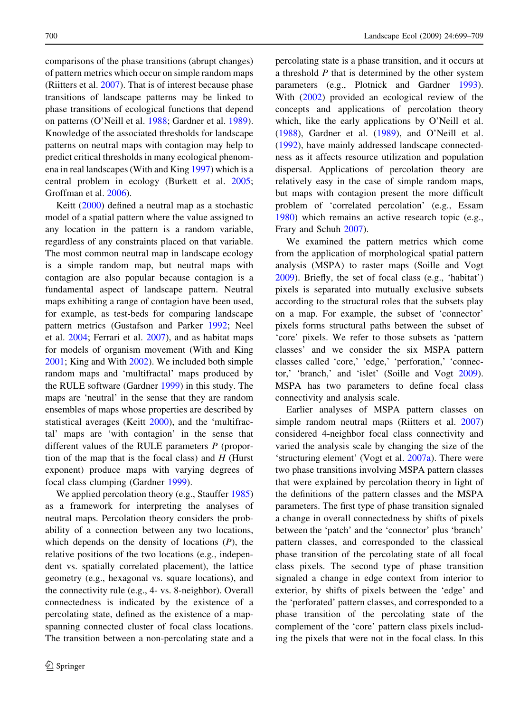comparisons of the phase transitions (abrupt changes) of pattern metrics which occur on simple random maps (Riitters et al. [2007](#page-10-0)). That is of interest because phase transitions of landscape patterns may be linked to phase transitions of ecological functions that depend on patterns (O'Neill et al. [1988;](#page-10-0) Gardner et al. [1989](#page-10-0)). Knowledge of the associated thresholds for landscape patterns on neutral maps with contagion may help to predict critical thresholds in many ecological phenomena in real landscapes (With and King [1997\)](#page-10-0) which is a central problem in ecology (Burkett et al. [2005](#page-9-0); Groffman et al. [2006\)](#page-10-0).

Keitt ([2000\)](#page-10-0) defined a neutral map as a stochastic model of a spatial pattern where the value assigned to any location in the pattern is a random variable, regardless of any constraints placed on that variable. The most common neutral map in landscape ecology is a simple random map, but neutral maps with contagion are also popular because contagion is a fundamental aspect of landscape pattern. Neutral maps exhibiting a range of contagion have been used, for example, as test-beds for comparing landscape pattern metrics (Gustafson and Parker [1992](#page-10-0); Neel et al. [2004;](#page-10-0) Ferrari et al. [2007](#page-9-0)), and as habitat maps for models of organism movement (With and King [2001;](#page-10-0) King and With [2002\)](#page-10-0). We included both simple random maps and 'multifractal' maps produced by the RULE software (Gardner [1999](#page-10-0)) in this study. The maps are 'neutral' in the sense that they are random ensembles of maps whose properties are described by statistical averages (Keitt [2000\)](#page-10-0), and the 'multifractal' maps are 'with contagion' in the sense that different values of the RULE parameters P (proportion of the map that is the focal class) and  $H$  (Hurst exponent) produce maps with varying degrees of focal class clumping (Gardner [1999](#page-10-0)).

We applied percolation theory (e.g., Stauffer [1985\)](#page-10-0) as a framework for interpreting the analyses of neutral maps. Percolation theory considers the probability of a connection between any two locations, which depends on the density of locations  $(P)$ , the relative positions of the two locations (e.g., independent vs. spatially correlated placement), the lattice geometry (e.g., hexagonal vs. square locations), and the connectivity rule (e.g., 4- vs. 8-neighbor). Overall connectedness is indicated by the existence of a percolating state, defined as the existence of a mapspanning connected cluster of focal class locations. The transition between a non-percolating state and a

percolating state is a phase transition, and it occurs at a threshold  $P$  that is determined by the other system parameters (e.g., Plotnick and Gardner [1993](#page-10-0)). With [\(2002](#page-10-0)) provided an ecological review of the concepts and applications of percolation theory which, like the early applications by O'Neill et al. [\(1988](#page-10-0)), Gardner et al. ([1989\)](#page-10-0), and O'Neill et al. [\(1992](#page-10-0)), have mainly addressed landscape connectedness as it affects resource utilization and population dispersal. Applications of percolation theory are relatively easy in the case of simple random maps, but maps with contagion present the more difficult problem of 'correlated percolation' (e.g., Essam [1980\)](#page-9-0) which remains an active research topic (e.g., Frary and Schuh [2007\)](#page-10-0).

We examined the pattern metrics which come from the application of morphological spatial pattern analysis (MSPA) to raster maps (Soille and Vogt [2009\)](#page-10-0). Briefly, the set of focal class (e.g., 'habitat') pixels is separated into mutually exclusive subsets according to the structural roles that the subsets play on a map. For example, the subset of 'connector' pixels forms structural paths between the subset of 'core' pixels. We refer to those subsets as 'pattern classes' and we consider the six MSPA pattern classes called 'core,' 'edge,' 'perforation,' 'connector,' 'branch,' and 'islet' (Soille and Vogt [2009](#page-10-0)). MSPA has two parameters to define focal class connectivity and analysis scale.

Earlier analyses of MSPA pattern classes on simple random neutral maps (Riitters et al. [2007\)](#page-10-0) considered 4-neighbor focal class connectivity and varied the analysis scale by changing the size of the 'structuring element' (Vogt et al. [2007a\)](#page-10-0). There were two phase transitions involving MSPA pattern classes that were explained by percolation theory in light of the definitions of the pattern classes and the MSPA parameters. The first type of phase transition signaled a change in overall connectedness by shifts of pixels between the 'patch' and the 'connector' plus 'branch' pattern classes, and corresponded to the classical phase transition of the percolating state of all focal class pixels. The second type of phase transition signaled a change in edge context from interior to exterior, by shifts of pixels between the 'edge' and the 'perforated' pattern classes, and corresponded to a phase transition of the percolating state of the complement of the 'core' pattern class pixels including the pixels that were not in the focal class. In this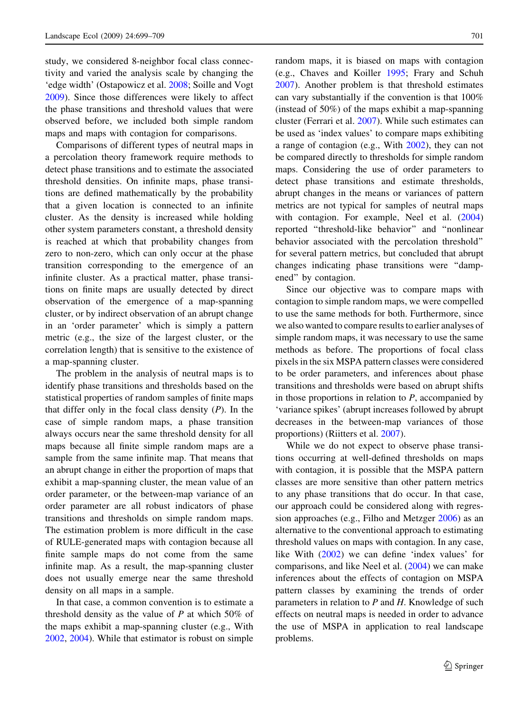study, we considered 8-neighbor focal class connectivity and varied the analysis scale by changing the 'edge width' (Ostapowicz et al. [2008;](#page-10-0) Soille and Vogt [2009\)](#page-10-0). Since those differences were likely to affect the phase transitions and threshold values that were observed before, we included both simple random maps and maps with contagion for comparisons.

Comparisons of different types of neutral maps in a percolation theory framework require methods to detect phase transitions and to estimate the associated threshold densities. On infinite maps, phase transitions are defined mathematically by the probability that a given location is connected to an infinite cluster. As the density is increased while holding other system parameters constant, a threshold density is reached at which that probability changes from zero to non-zero, which can only occur at the phase transition corresponding to the emergence of an infinite cluster. As a practical matter, phase transitions on finite maps are usually detected by direct observation of the emergence of a map-spanning cluster, or by indirect observation of an abrupt change in an 'order parameter' which is simply a pattern metric (e.g., the size of the largest cluster, or the correlation length) that is sensitive to the existence of a map-spanning cluster.

The problem in the analysis of neutral maps is to identify phase transitions and thresholds based on the statistical properties of random samples of finite maps that differ only in the focal class density  $(P)$ . In the case of simple random maps, a phase transition always occurs near the same threshold density for all maps because all finite simple random maps are a sample from the same infinite map. That means that an abrupt change in either the proportion of maps that exhibit a map-spanning cluster, the mean value of an order parameter, or the between-map variance of an order parameter are all robust indicators of phase transitions and thresholds on simple random maps. The estimation problem is more difficult in the case of RULE-generated maps with contagion because all finite sample maps do not come from the same infinite map. As a result, the map-spanning cluster does not usually emerge near the same threshold density on all maps in a sample.

In that case, a common convention is to estimate a threshold density as the value of  $P$  at which 50% of the maps exhibit a map-spanning cluster (e.g., With [2002,](#page-10-0) [2004\)](#page-10-0). While that estimator is robust on simple random maps, it is biased on maps with contagion (e.g., Chaves and Koiller [1995;](#page-9-0) Frary and Schuh [2007\)](#page-10-0). Another problem is that threshold estimates can vary substantially if the convention is that 100% (instead of 50%) of the maps exhibit a map-spanning cluster (Ferrari et al. [2007\)](#page-9-0). While such estimates can be used as 'index values' to compare maps exhibiting a range of contagion (e.g., With [2002](#page-10-0)), they can not be compared directly to thresholds for simple random maps. Considering the use of order parameters to detect phase transitions and estimate thresholds, abrupt changes in the means or variances of pattern metrics are not typical for samples of neutral maps with contagion. For example, Neel et al.  $(2004)$  $(2004)$ reported ''threshold-like behavior'' and ''nonlinear behavior associated with the percolation threshold'' for several pattern metrics, but concluded that abrupt changes indicating phase transitions were ''dampened'' by contagion.

Since our objective was to compare maps with contagion to simple random maps, we were compelled to use the same methods for both. Furthermore, since we also wanted to compare results to earlier analyses of simple random maps, it was necessary to use the same methods as before. The proportions of focal class pixels in the six MSPA pattern classes were considered to be order parameters, and inferences about phase transitions and thresholds were based on abrupt shifts in those proportions in relation to  $P$ , accompanied by 'variance spikes' (abrupt increases followed by abrupt decreases in the between-map variances of those proportions) (Riitters et al. [2007](#page-10-0)).

While we do not expect to observe phase transitions occurring at well-defined thresholds on maps with contagion, it is possible that the MSPA pattern classes are more sensitive than other pattern metrics to any phase transitions that do occur. In that case, our approach could be considered along with regression approaches (e.g., Filho and Metzger [2006](#page-9-0)) as an alternative to the conventional approach to estimating threshold values on maps with contagion. In any case, like With ([2002\)](#page-10-0) we can define 'index values' for comparisons, and like Neel et al. [\(2004](#page-10-0)) we can make inferences about the effects of contagion on MSPA pattern classes by examining the trends of order parameters in relation to  $P$  and  $H$ . Knowledge of such effects on neutral maps is needed in order to advance the use of MSPA in application to real landscape problems.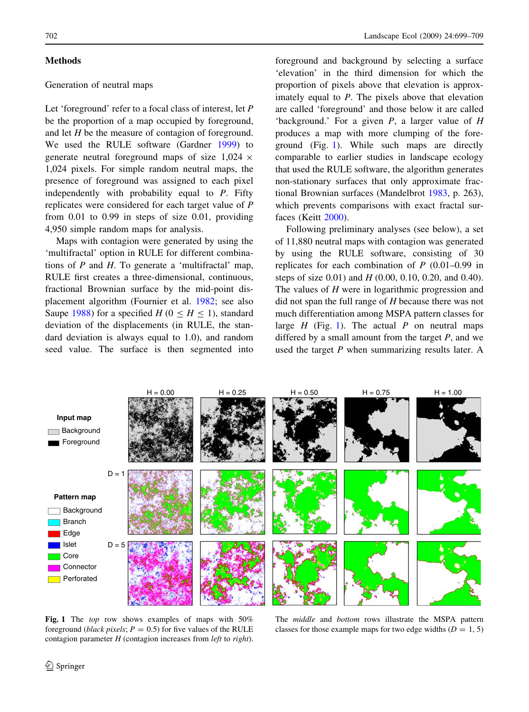## <span id="page-3-0"></span>Methods

#### Generation of neutral maps

Let 'foreground' refer to a focal class of interest, let P be the proportion of a map occupied by foreground, and let H be the measure of contagion of foreground. We used the RULE software (Gardner [1999\)](#page-10-0) to generate neutral foreground maps of size  $1,024 \times$ 1,024 pixels. For simple random neutral maps, the presence of foreground was assigned to each pixel independently with probability equal to P. Fifty replicates were considered for each target value of P from 0.01 to 0.99 in steps of size 0.01, providing 4,950 simple random maps for analysis.

Maps with contagion were generated by using the 'multifractal' option in RULE for different combinations of  $P$  and  $H$ . To generate a 'multifractal' map, RULE first creates a three-dimensional, continuous, fractional Brownian surface by the mid-point displacement algorithm (Fournier et al. [1982](#page-9-0); see also Saupe [1988](#page-10-0)) for a specified  $H$  ( $0 \le H \le 1$ ), standard deviation of the displacements (in RULE, the standard deviation is always equal to 1.0), and random seed value. The surface is then segmented into foreground and background by selecting a surface 'elevation' in the third dimension for which the proportion of pixels above that elevation is approximately equal to P. The pixels above that elevation are called 'foreground' and those below it are called 'background.' For a given  $P$ , a larger value of  $H$ produces a map with more clumping of the foreground (Fig. 1). While such maps are directly comparable to earlier studies in landscape ecology that used the RULE software, the algorithm generates non-stationary surfaces that only approximate fractional Brownian surfaces (Mandelbrot [1983](#page-10-0), p. 263), which prevents comparisons with exact fractal surfaces (Keitt [2000](#page-10-0)).

Following preliminary analyses (see below), a set of 11,880 neutral maps with contagion was generated by using the RULE software, consisting of 30 replicates for each combination of  $P(0.01-0.99)$  in steps of size 0.01) and  $H$  (0.00, 0.10, 0.20, and 0.40). The values of  $H$  were in logarithmic progression and did not span the full range of  $H$  because there was not much differentiation among MSPA pattern classes for large  $H$  (Fig. 1). The actual  $P$  on neutral maps differed by a small amount from the target  $P$ , and we used the target  $P$  when summarizing results later. A



Fig. 1 The top row shows examples of maps with 50% foreground (*black pixels*;  $P = 0.5$ ) for five values of the RULE contagion parameter  $H$  (contagion increases from *left* to *right*).

The *middle* and *bottom* rows illustrate the MSPA pattern classes for those example maps for two edge widths  $(D = 1, 5)$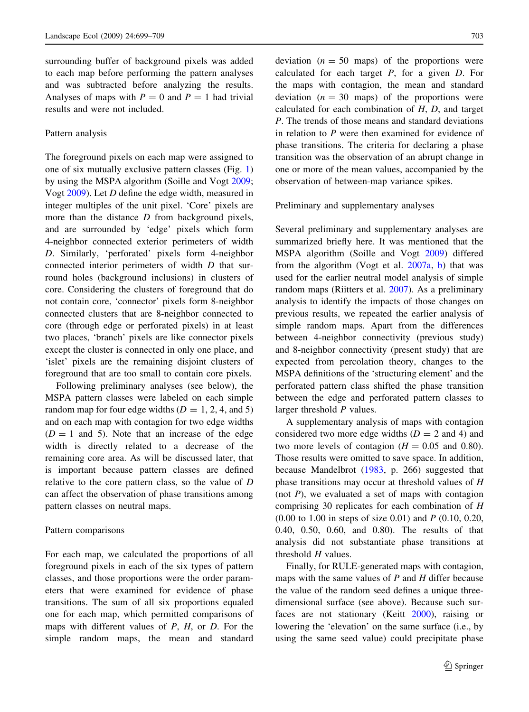surrounding buffer of background pixels was added to each map before performing the pattern analyses and was subtracted before analyzing the results. Analyses of maps with  $P = 0$  and  $P = 1$  had trivial results and were not included.

### Pattern analysis

The foreground pixels on each map were assigned to one of six mutually exclusive pattern classes (Fig. [1\)](#page-3-0) by using the MSPA algorithm (Soille and Vogt [2009](#page-10-0); Vogt [2009](#page-10-0)). Let D define the edge width, measured in integer multiples of the unit pixel. 'Core' pixels are more than the distance  $D$  from background pixels, and are surrounded by 'edge' pixels which form 4-neighbor connected exterior perimeters of width D. Similarly, 'perforated' pixels form 4-neighbor connected interior perimeters of width D that surround holes (background inclusions) in clusters of core. Considering the clusters of foreground that do not contain core, 'connector' pixels form 8-neighbor connected clusters that are 8-neighbor connected to core (through edge or perforated pixels) in at least two places, 'branch' pixels are like connector pixels except the cluster is connected in only one place, and 'islet' pixels are the remaining disjoint clusters of foreground that are too small to contain core pixels.

Following preliminary analyses (see below), the MSPA pattern classes were labeled on each simple random map for four edge widths  $(D = 1, 2, 4, \text{ and } 5)$ and on each map with contagion for two edge widths  $(D = 1$  and 5). Note that an increase of the edge width is directly related to a decrease of the remaining core area. As will be discussed later, that is important because pattern classes are defined relative to the core pattern class, so the value of D can affect the observation of phase transitions among pattern classes on neutral maps.

#### Pattern comparisons

For each map, we calculated the proportions of all foreground pixels in each of the six types of pattern classes, and those proportions were the order parameters that were examined for evidence of phase transitions. The sum of all six proportions equaled one for each map, which permitted comparisons of maps with different values of  $P$ ,  $H$ , or  $D$ . For the simple random maps, the mean and standard deviation  $(n = 50 \text{ maps})$  of the proportions were calculated for each target  $P$ , for a given  $D$ . For the maps with contagion, the mean and standard deviation  $(n = 30 \text{ maps})$  of the proportions were calculated for each combination of H, D, and target P. The trends of those means and standard deviations in relation to P were then examined for evidence of phase transitions. The criteria for declaring a phase transition was the observation of an abrupt change in one or more of the mean values, accompanied by the observation of between-map variance spikes.

Preliminary and supplementary analyses

Several preliminary and supplementary analyses are summarized briefly here. It was mentioned that the MSPA algorithm (Soille and Vogt [2009\)](#page-10-0) differed from the algorithm (Vogt et al.  $2007a$ , [b\)](#page-10-0) that was used for the earlier neutral model analysis of simple random maps (Riitters et al. [2007\)](#page-10-0). As a preliminary analysis to identify the impacts of those changes on previous results, we repeated the earlier analysis of simple random maps. Apart from the differences between 4-neighbor connectivity (previous study) and 8-neighbor connectivity (present study) that are expected from percolation theory, changes to the MSPA definitions of the 'structuring element' and the perforated pattern class shifted the phase transition between the edge and perforated pattern classes to larger threshold P values.

A supplementary analysis of maps with contagion considered two more edge widths  $(D = 2 \text{ and } 4)$  and two more levels of contagion ( $H = 0.05$  and 0.80). Those results were omitted to save space. In addition, because Mandelbrot ([1983,](#page-10-0) p. 266) suggested that phase transitions may occur at threshold values of H (not  $P$ ), we evaluated a set of maps with contagion comprising 30 replicates for each combination of H (0.00 to 1.00 in steps of size 0.01) and P (0.10, 0.20, 0.40, 0.50, 0.60, and 0.80). The results of that analysis did not substantiate phase transitions at threshold  $H$  values.

Finally, for RULE-generated maps with contagion, maps with the same values of  $P$  and  $H$  differ because the value of the random seed defines a unique threedimensional surface (see above). Because such surfaces are not stationary (Keitt [2000\)](#page-10-0), raising or lowering the 'elevation' on the same surface (i.e., by using the same seed value) could precipitate phase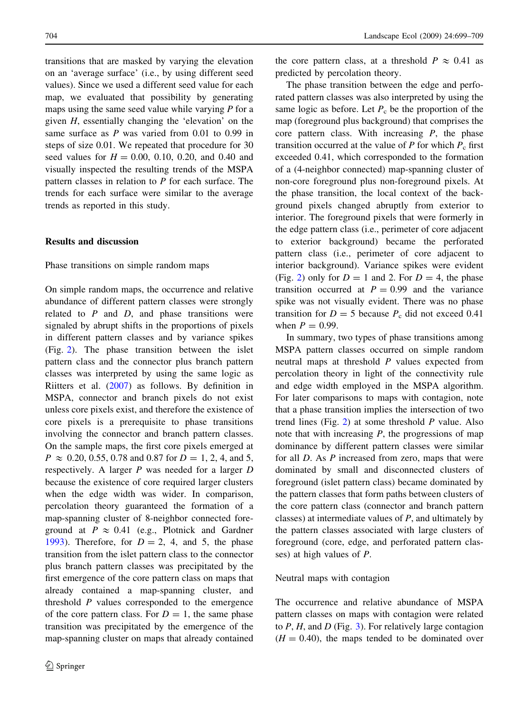transitions that are masked by varying the elevation on an 'average surface' (i.e., by using different seed values). Since we used a different seed value for each map, we evaluated that possibility by generating maps using the same seed value while varying  $P$  for a given H, essentially changing the 'elevation' on the same surface as P was varied from 0.01 to 0.99 in steps of size 0.01. We repeated that procedure for 30 seed values for  $H = 0.00, 0.10, 0.20,$  and 0.40 and visually inspected the resulting trends of the MSPA pattern classes in relation to  $P$  for each surface. The trends for each surface were similar to the average trends as reported in this study.

#### Results and discussion

#### Phase transitions on simple random maps

On simple random maps, the occurrence and relative abundance of different pattern classes were strongly related to  $P$  and  $D$ , and phase transitions were signaled by abrupt shifts in the proportions of pixels in different pattern classes and by variance spikes (Fig. [2](#page-6-0)). The phase transition between the islet pattern class and the connector plus branch pattern classes was interpreted by using the same logic as Riitters et al. [\(2007](#page-10-0)) as follows. By definition in MSPA, connector and branch pixels do not exist unless core pixels exist, and therefore the existence of core pixels is a prerequisite to phase transitions involving the connector and branch pattern classes. On the sample maps, the first core pixels emerged at  $P \approx 0.20, 0.55, 0.78$  and 0.87 for  $D = 1, 2, 4$ , and 5, respectively. A larger  $P$  was needed for a larger  $D$ because the existence of core required larger clusters when the edge width was wider. In comparison, percolation theory guaranteed the formation of a map-spanning cluster of 8-neighbor connected foreground at  $P \approx 0.41$  (e.g., Plotnick and Gardner [1993\)](#page-10-0). Therefore, for  $D = 2$ , 4, and 5, the phase transition from the islet pattern class to the connector plus branch pattern classes was precipitated by the first emergence of the core pattern class on maps that already contained a map-spanning cluster, and threshold P values corresponded to the emergence of the core pattern class. For  $D = 1$ , the same phase transition was precipitated by the emergence of the map-spanning cluster on maps that already contained

the core pattern class, at a threshold  $P \approx 0.41$  as predicted by percolation theory.

The phase transition between the edge and perforated pattern classes was also interpreted by using the same logic as before. Let  $P_c$  be the proportion of the map (foreground plus background) that comprises the core pattern class. With increasing  $P$ , the phase transition occurred at the value of  $P$  for which  $P_c$  first exceeded 0.41, which corresponded to the formation of a (4-neighbor connected) map-spanning cluster of non-core foreground plus non-foreground pixels. At the phase transition, the local context of the background pixels changed abruptly from exterior to interior. The foreground pixels that were formerly in the edge pattern class (i.e., perimeter of core adjacent to exterior background) became the perforated pattern class (i.e., perimeter of core adjacent to interior background). Variance spikes were evident (Fig. [2](#page-6-0)) only for  $D = 1$  and 2. For  $D = 4$ , the phase transition occurred at  $P = 0.99$  and the variance spike was not visually evident. There was no phase transition for  $D = 5$  because  $P_c$  did not exceed 0.41 when  $P = 0.99$ .

In summary, two types of phase transitions among MSPA pattern classes occurred on simple random neutral maps at threshold P values expected from percolation theory in light of the connectivity rule and edge width employed in the MSPA algorithm. For later comparisons to maps with contagion, note that a phase transition implies the intersection of two trend lines (Fig. [2](#page-6-0)) at some threshold  $P$  value. Also note that with increasing  $P$ , the progressions of map dominance by different pattern classes were similar for all D. As P increased from zero, maps that were dominated by small and disconnected clusters of foreground (islet pattern class) became dominated by the pattern classes that form paths between clusters of the core pattern class (connector and branch pattern classes) at intermediate values of  $P$ , and ultimately by the pattern classes associated with large clusters of foreground (core, edge, and perforated pattern classes) at high values of P.

#### Neutral maps with contagion

The occurrence and relative abundance of MSPA pattern classes on maps with contagion were related to  $P$ ,  $H$ , and  $D$  (Fig. [3\)](#page-7-0). For relatively large contagion  $(H = 0.40)$ , the maps tended to be dominated over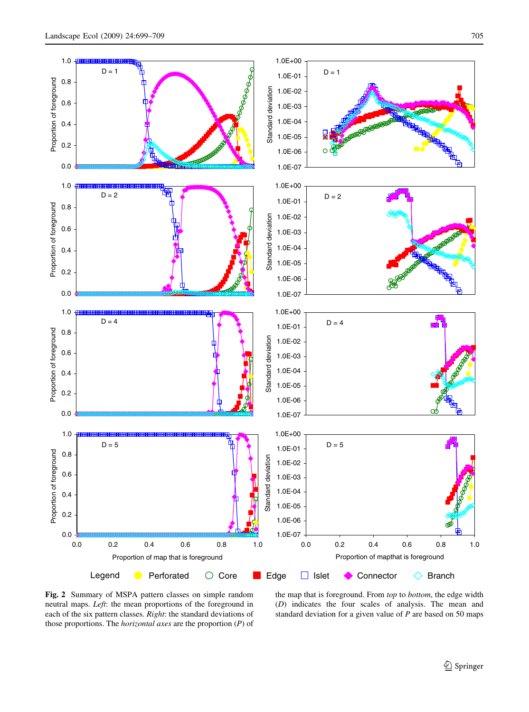<span id="page-6-0"></span>

Fig. 2 Summary of MSPA pattern classes on simple random neutral maps. Left: the mean proportions of the foreground in each of the six pattern classes. Right: the standard deviations of those proportions. The horizontal axes are the proportion (P) of

the map that is foreground. From top to bottom, the edge width (D) indicates the four scales of analysis. The mean and standard deviation for a given value of  $P$  are based on 50 maps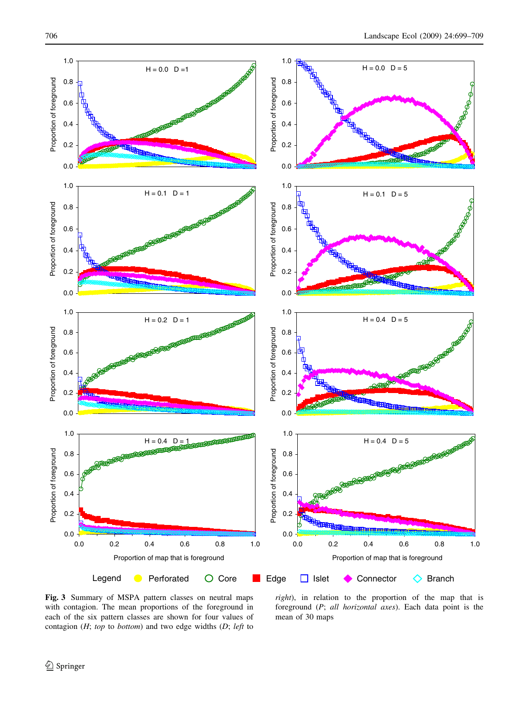<span id="page-7-0"></span>

Fig. 3 Summary of MSPA pattern classes on neutral maps with contagion. The mean proportions of the foreground in each of the six pattern classes are shown for four values of contagion  $(H; top to bottom)$  and two edge widths  $(D; left to$ 

right), in relation to the proportion of the map that is foreground (P; all horizontal axes). Each data point is the mean of 30 maps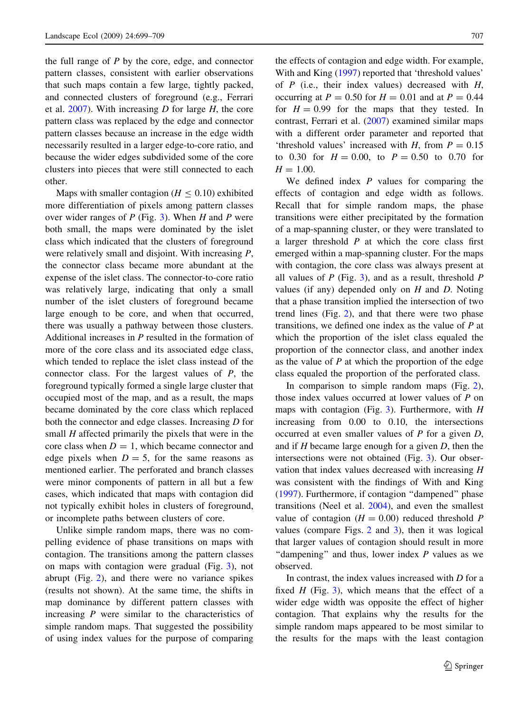the full range of  $P$  by the core, edge, and connector pattern classes, consistent with earlier observations that such maps contain a few large, tightly packed, and connected clusters of foreground (e.g., Ferrari et al.  $2007$ ). With increasing D for large H, the core pattern class was replaced by the edge and connector pattern classes because an increase in the edge width necessarily resulted in a larger edge-to-core ratio, and because the wider edges subdivided some of the core clusters into pieces that were still connected to each other.

Maps with smaller contagion ( $H \le 0.10$ ) exhibited more differentiation of pixels among pattern classes over wider ranges of  $P$  (Fig. [3](#page-7-0)). When  $H$  and  $P$  were both small, the maps were dominated by the islet class which indicated that the clusters of foreground were relatively small and disjoint. With increasing P, the connector class became more abundant at the expense of the islet class. The connector-to-core ratio was relatively large, indicating that only a small number of the islet clusters of foreground became large enough to be core, and when that occurred, there was usually a pathway between those clusters. Additional increases in P resulted in the formation of more of the core class and its associated edge class, which tended to replace the islet class instead of the connector class. For the largest values of P, the foreground typically formed a single large cluster that occupied most of the map, and as a result, the maps became dominated by the core class which replaced both the connector and edge classes. Increasing D for small  $H$  affected primarily the pixels that were in the core class when  $D = 1$ , which became connector and edge pixels when  $D = 5$ , for the same reasons as mentioned earlier. The perforated and branch classes were minor components of pattern in all but a few cases, which indicated that maps with contagion did not typically exhibit holes in clusters of foreground, or incomplete paths between clusters of core.

Unlike simple random maps, there was no compelling evidence of phase transitions on maps with contagion. The transitions among the pattern classes on maps with contagion were gradual (Fig. [3](#page-7-0)), not abrupt (Fig. [2\)](#page-6-0), and there were no variance spikes (results not shown). At the same time, the shifts in map dominance by different pattern classes with increasing  $P$  were similar to the characteristics of simple random maps. That suggested the possibility of using index values for the purpose of comparing the effects of contagion and edge width. For example, With and King ([1997\)](#page-10-0) reported that 'threshold values' of  $P$  (i.e., their index values) decreased with  $H$ , occurring at  $P = 0.50$  for  $H = 0.01$  and at  $P = 0.44$ for  $H = 0.99$  for the maps that they tested. In contrast, Ferrari et al. ([2007](#page-9-0)) examined similar maps with a different order parameter and reported that 'threshold values' increased with  $H$ , from  $P = 0.15$ to 0.30 for  $H = 0.00$ , to  $P = 0.50$  to 0.70 for  $H = 1.00$ .

We defined index  $P$  values for comparing the effects of contagion and edge width as follows. Recall that for simple random maps, the phase transitions were either precipitated by the formation of a map-spanning cluster, or they were translated to a larger threshold  $P$  at which the core class first emerged within a map-spanning cluster. For the maps with contagion, the core class was always present at all values of  $P$  (Fig. [3](#page-7-0)), and as a result, threshold  $P$ values (if any) depended only on  $H$  and  $D$ . Noting that a phase transition implied the intersection of two trend lines (Fig. [2\)](#page-6-0), and that there were two phase transitions, we defined one index as the value of P at which the proportion of the islet class equaled the proportion of the connector class, and another index as the value of  $P$  at which the proportion of the edge class equaled the proportion of the perforated class.

In comparison to simple random maps (Fig. [2](#page-6-0)), those index values occurred at lower values of P on maps with contagion (Fig. [3\)](#page-7-0). Furthermore, with  $H$ increasing from 0.00 to 0.10, the intersections occurred at even smaller values of P for a given D, and if  $H$  became large enough for a given  $D$ , then the intersections were not obtained (Fig. [3\)](#page-7-0). Our observation that index values decreased with increasing H was consistent with the findings of With and King [\(1997](#page-10-0)). Furthermore, if contagion ''dampened'' phase transitions (Neel et al. [2004\)](#page-10-0), and even the smallest value of contagion ( $H = 0.00$ ) reduced threshold P values (compare Figs. [2](#page-6-0) and [3](#page-7-0)), then it was logical that larger values of contagion should result in more "dampening" and thus, lower index  $P$  values as we observed.

In contrast, the index values increased with  $D$  for a fixed  $H$  (Fig. [3\)](#page-7-0), which means that the effect of a wider edge width was opposite the effect of higher contagion. That explains why the results for the simple random maps appeared to be most similar to the results for the maps with the least contagion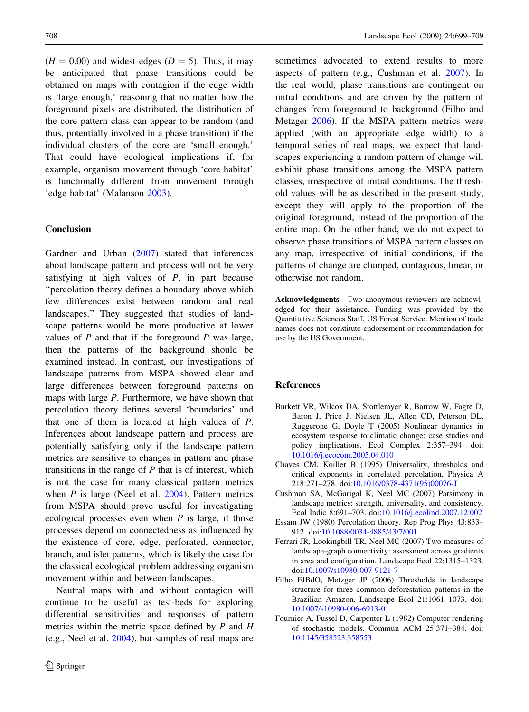<span id="page-9-0"></span> $(H = 0.00)$  and widest edges  $(D = 5)$ . Thus, it may be anticipated that phase transitions could be obtained on maps with contagion if the edge width is 'large enough,' reasoning that no matter how the foreground pixels are distributed, the distribution of the core pattern class can appear to be random (and thus, potentially involved in a phase transition) if the individual clusters of the core are 'small enough.' That could have ecological implications if, for example, organism movement through 'core habitat' is functionally different from movement through 'edge habitat' (Malanson [2003](#page-10-0)).

## Conclusion

Gardner and Urban ([2007\)](#page-10-0) stated that inferences about landscape pattern and process will not be very satisfying at high values of  $P$ , in part because ''percolation theory defines a boundary above which few differences exist between random and real landscapes.'' They suggested that studies of landscape patterns would be more productive at lower values of  $P$  and that if the foreground  $P$  was large, then the patterns of the background should be examined instead. In contrast, our investigations of landscape patterns from MSPA showed clear and large differences between foreground patterns on maps with large P. Furthermore, we have shown that percolation theory defines several 'boundaries' and that one of them is located at high values of P. Inferences about landscape pattern and process are potentially satisfying only if the landscape pattern metrics are sensitive to changes in pattern and phase transitions in the range of  $P$  that is of interest, which is not the case for many classical pattern metrics when  $P$  is large (Neel et al. [2004](#page-10-0)). Pattern metrics from MSPA should prove useful for investigating ecological processes even when  $P$  is large, if those processes depend on connectedness as influenced by the existence of core, edge, perforated, connector, branch, and islet patterns, which is likely the case for the classical ecological problem addressing organism movement within and between landscapes.

Neutral maps with and without contagion will continue to be useful as test-beds for exploring differential sensitivities and responses of pattern metrics within the metric space defined by  $P$  and  $H$ (e.g., Neel et al. [2004\)](#page-10-0), but samples of real maps are

sometimes advocated to extend results to more aspects of pattern (e.g., Cushman et al. 2007). In the real world, phase transitions are contingent on initial conditions and are driven by the pattern of changes from foreground to background (Filho and Metzger 2006). If the MSPA pattern metrics were applied (with an appropriate edge width) to a temporal series of real maps, we expect that landscapes experiencing a random pattern of change will exhibit phase transitions among the MSPA pattern classes, irrespective of initial conditions. The threshold values will be as described in the present study, except they will apply to the proportion of the original foreground, instead of the proportion of the entire map. On the other hand, we do not expect to observe phase transitions of MSPA pattern classes on any map, irrespective of initial conditions, if the patterns of change are clumped, contagious, linear, or otherwise not random.

Acknowledgments Two anonymous reviewers are acknowledged for their assistance. Funding was provided by the Quantitative Sciences Staff, US Forest Service. Mention of trade names does not constitute endorsement or recommendation for use by the US Government.

## References

- Burkett VR, Wilcox DA, Stottlemyer R, Barrow W, Fagre D, Baron J, Price J, Nielsen JL, Allen CD, Peterson DL, Ruggerone G, Doyle T (2005) Nonlinear dynamics in ecosystem response to climatic change: case studies and policy implications. Ecol Complex 2:357–394. doi: [10.1016/j.ecocom.2005.04.010](http://dx.doi.org/10.1016/j.ecocom.2005.04.010)
- Chaves CM, Koiller B (1995) Universality, thresholds and critical exponents in correlated percolation. Physica A 218:271–278. doi:[10.1016/0378-4371\(95\)00076-J](http://dx.doi.org/10.1016/0378-4371(95)00076-J)
- Cushman SA, McGarigal K, Neel MC (2007) Parsimony in landscape metrics: strength, universality, and consistency. Ecol Indic 8:691–703. doi[:10.1016/j.ecolind.2007.12.002](http://dx.doi.org/10.1016/j.ecolind.2007.12.002)
- Essam JW (1980) Percolation theory. Rep Prog Phys 43:833– 912. doi:[10.1088/0034-4885/43/7/001](http://dx.doi.org/10.1088/0034-4885/43/7/001)
- Ferrari JR, Lookingbill TR, Neel MC (2007) Two measures of landscape-graph connectivity: assessment across gradients in area and configuration. Landscape Ecol 22:1315–1323. doi[:10.1007/s10980-007-9121-7](http://dx.doi.org/10.1007/s10980-007-9121-7)
- Filho FJBdO, Metzger JP (2006) Thresholds in landscape structure for three common deforestation patterns in the Brazilian Amazon. Landscape Ecol 21:1061–1073. doi: [10.1007/s10980-006-6913-0](http://dx.doi.org/10.1007/s10980-006-6913-0)
- Fournier A, Fussel D, Carpenter L (1982) Computer rendering of stochastic models. Commun ACM 25:371–384. doi: [10.1145/358523.358553](http://dx.doi.org/10.1145/358523.358553)